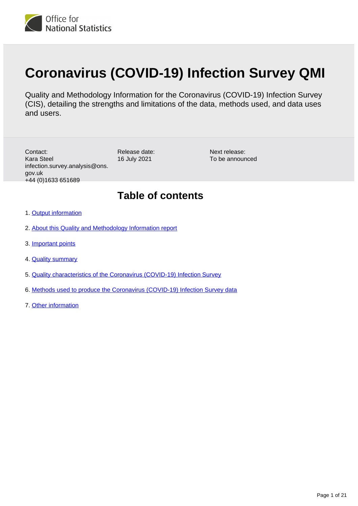

# **Coronavirus (COVID-19) Infection Survey QMI**

Quality and Methodology Information for the Coronavirus (COVID-19) Infection Survey (CIS), detailing the strengths and limitations of the data, methods used, and data uses and users.

Release date: 16 July 2021 Contact: Kara Steel infection.survey.analysis@ons. gov.uk +44 (0)1633 651689

Next release: To be announced

# **Table of contents**

- 1. [Output information](#page-1-0)
- 2. [About this Quality and Methodology Information report](#page-1-1)
- 3. [Important points](#page-1-2)
- 4. **[Quality summary](#page-2-0)**
- 5. [Quality characteristics of the Coronavirus \(COVID-19\) Infection Survey](#page-5-0)
- 6. [Methods used to produce the Coronavirus \(COVID-19\) Infection Survey data](#page-16-0)
- 7. [Other information](#page-19-0)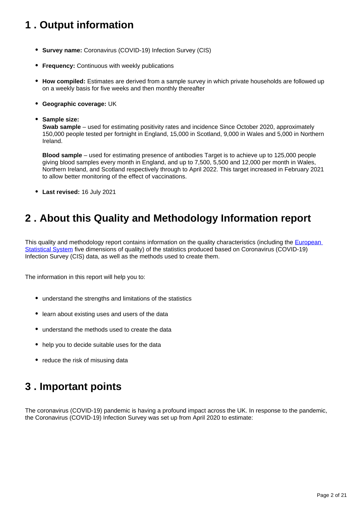# <span id="page-1-0"></span>**1 . Output information**

- **Survey name:** Coronavirus (COVID-19) Infection Survey (CIS)
- **Frequency:** Continuous with weekly publications
- **How compiled:** Estimates are derived from a sample survey in which private households are followed up on a weekly basis for five weeks and then monthly thereafter
- **Geographic coverage:** UK
- **Sample size:**

**Swab sample** – used for estimating positivity rates and incidence Since October 2020, approximately 150,000 people tested per fortnight in England, 15,000 in Scotland, 9,000 in Wales and 5,000 in Northern Ireland.

**Blood sample** – used for estimating presence of antibodies Target is to achieve up to 125,000 people giving blood samples every month in England, and up to 7,500, 5,500 and 12,000 per month in Wales, Northern Ireland, and Scotland respectively through to April 2022. This target increased in February 2021 to allow better monitoring of the effect of vaccinations.

**Last revised:** 16 July 2021

# <span id="page-1-1"></span>**2 . About this Quality and Methodology Information report**

This quality and methodology report contains information on the quality characteristics (including the European [Statistical System](https://ec.europa.eu/eurostat/documents/3859598/6651706/KS-GQ-15-003-EN-N.pdf/18dd4bf0-8de6-4f3f-9adb-fab92db1a568) five dimensions of quality) of the statistics produced based on Coronavirus (COVID-19) Infection Survey (CIS) data, as well as the methods used to create them.

The information in this report will help you to:

- understand the strengths and limitations of the statistics
- learn about existing uses and users of the data
- understand the methods used to create the data
- help you to decide suitable uses for the data
- reduce the risk of misusing data

# <span id="page-1-2"></span>**3 . Important points**

The coronavirus (COVID-19) pandemic is having a profound impact across the UK. In response to the pandemic, the Coronavirus (COVID-19) Infection Survey was set up from April 2020 to estimate: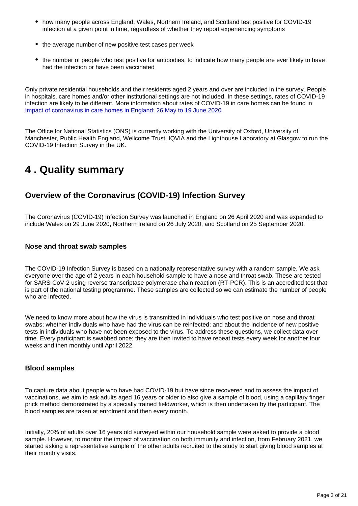- how many people across England, Wales, Northern Ireland, and Scotland test positive for COVID-19 infection at a given point in time, regardless of whether they report experiencing symptoms
- the average number of new positive test cases per week
- the number of people who test positive for antibodies, to indicate how many people are ever likely to have had the infection or have been vaccinated

Only private residential households and their residents aged 2 years and over are included in the survey. People in hospitals, care homes and/or other institutional settings are not included. In these settings, rates of COVID-19 infection are likely to be different. More information about rates of COVID-19 in care homes can be found in [Impact of coronavirus in care homes in England: 26 May to 19 June 2020.](https://www.ons.gov.uk/peoplepopulationandcommunity/healthandsocialcare/conditionsanddiseases/articles/impactofcoronavirusincarehomesinenglandvivaldi/latest)

The Office for National Statistics (ONS) is currently working with the University of Oxford, University of Manchester, Public Health England, Wellcome Trust, IQVIA and the Lighthouse Laboratory at Glasgow to run the COVID-19 Infection Survey in the UK.

# <span id="page-2-0"></span>**4 . Quality summary**

## **Overview of the Coronavirus (COVID-19) Infection Survey**

The Coronavirus (COVID-19) Infection Survey was launched in England on 26 April 2020 and was expanded to include Wales on 29 June 2020, Northern Ireland on 26 July 2020, and Scotland on 25 September 2020.

#### **Nose and throat swab samples**

The COVID-19 Infection Survey is based on a nationally representative survey with a random sample. We ask everyone over the age of 2 years in each household sample to have a nose and throat swab. These are tested for SARS-CoV-2 using reverse transcriptase polymerase chain reaction (RT-PCR). This is an accredited test that is part of the national testing programme. These samples are collected so we can estimate the number of people who are infected.

We need to know more about how the virus is transmitted in individuals who test positive on nose and throat swabs; whether individuals who have had the virus can be reinfected; and about the incidence of new positive tests in individuals who have not been exposed to the virus. To address these questions, we collect data over time. Every participant is swabbed once; they are then invited to have repeat tests every week for another four weeks and then monthly until April 2022.

#### **Blood samples**

To capture data about people who have had COVID-19 but have since recovered and to assess the impact of vaccinations, we aim to ask adults aged 16 years or older to also give a sample of blood, using a capillary finger prick method demonstrated by a specially trained fieldworker, which is then undertaken by the participant. The blood samples are taken at enrolment and then every month.

Initially, 20% of adults over 16 years old surveyed within our household sample were asked to provide a blood sample. However, to monitor the impact of vaccination on both immunity and infection, from February 2021, we started asking a representative sample of the other adults recruited to the study to start giving blood samples at their monthly visits.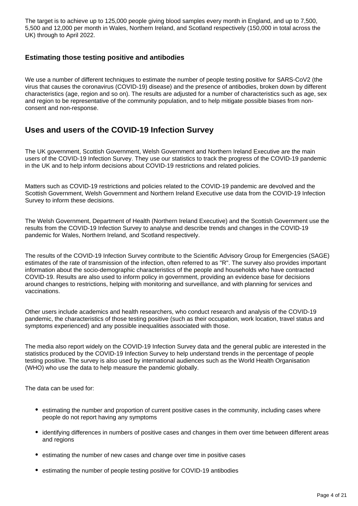The target is to achieve up to 125,000 people giving blood samples every month in England, and up to 7,500, 5,500 and 12,000 per month in Wales, Northern Ireland, and Scotland respectively (150,000 in total across the UK) through to April 2022.

#### **Estimating those testing positive and antibodies**

We use a number of different techniques to estimate the number of people testing positive for SARS-CoV2 (the virus that causes the coronavirus (COVID-19) disease) and the presence of antibodies, broken down by different characteristics (age, region and so on). The results are adjusted for a number of characteristics such as age, sex and region to be representative of the community population, and to help mitigate possible biases from nonconsent and non-response.

## **Uses and users of the COVID-19 Infection Survey**

The UK government, Scottish Government, Welsh Government and Northern Ireland Executive are the main users of the COVID-19 Infection Survey. They use our statistics to track the progress of the COVID-19 pandemic in the UK and to help inform decisions about COVID-19 restrictions and related policies.

Matters such as COVID-19 restrictions and policies related to the COVID-19 pandemic are devolved and the Scottish Government, Welsh Government and Northern Ireland Executive use data from the COVID-19 Infection Survey to inform these decisions.

The Welsh Government, Department of Health (Northern Ireland Executive) and the Scottish Government use the results from the COVID-19 Infection Survey to analyse and describe trends and changes in the COVID-19 pandemic for Wales, Northern Ireland, and Scotland respectively.

The results of the COVID-19 Infection Survey contribute to the Scientific Advisory Group for Emergencies (SAGE) estimates of the rate of transmission of the infection, often referred to as "R". The survey also provides important information about the socio-demographic characteristics of the people and households who have contracted COVID-19. Results are also used to inform policy in government, providing an evidence base for decisions around changes to restrictions, helping with monitoring and surveillance, and with planning for services and vaccinations.

Other users include academics and health researchers, who conduct research and analysis of the COVID-19 pandemic, the characteristics of those testing positive (such as their occupation, work location, travel status and symptoms experienced) and any possible inequalities associated with those.

The media also report widely on the COVID-19 Infection Survey data and the general public are interested in the statistics produced by the COVID-19 Infection Survey to help understand trends in the percentage of people testing positive. The survey is also used by international audiences such as the World Health Organisation (WHO) who use the data to help measure the pandemic globally.

The data can be used for:

- estimating the number and proportion of current positive cases in the community, including cases where people do not report having any symptoms
- identifying differences in numbers of positive cases and changes in them over time between different areas and regions
- estimating the number of new cases and change over time in positive cases
- estimating the number of people testing positive for COVID-19 antibodies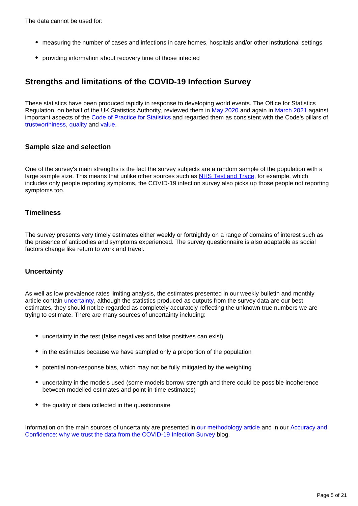The data cannot be used for:

- measuring the number of cases and infections in care homes, hospitals and/or other institutional settings
- providing information about recovery time of those infected

# **Strengths and limitations of the COVID-19 Infection Survey**

These statistics have been produced rapidly in response to developing world events. The Office for Statistics Regulation, on behalf of the UK Statistics Authority, reviewed them in [May 2020](https://osr.statisticsauthority.gov.uk/correspondence/review-of-coronavirus-covid-19-infection-survey/) and again in [March 2021](https://osr.statisticsauthority.gov.uk/correspondence/ed-humpherson-to-iain-bell-ons-covid-19-infection-survey-statistics/) against important aspects of the [Code of Practice for Statistics](https://code.statisticsauthority.gov.uk/) and regarded them as consistent with the Code's pillars of [trustworthiness,](https://code.statisticsauthority.gov.uk/the-code/trustworthiness/) [quality](https://code.statisticsauthority.gov.uk/the-code/quality/) and [value.](https://code.statisticsauthority.gov.uk/the-code/value/)

#### **Sample size and selection**

One of the survey's main strengths is the fact the survey subjects are a random sample of the population with a large sample size. This means that unlike other sources such as [NHS Test and Trace,](https://www.gov.uk/guidance/nhs-test-and-trace-how-it-works) for example, which includes only people reporting symptoms, the COVID-19 infection survey also picks up those people not reporting symptoms too.

#### **Timeliness**

The survey presents very timely estimates either weekly or fortnightly on a range of domains of interest such as the presence of antibodies and symptoms experienced. The survey questionnaire is also adaptable as social factors change like return to work and travel.

#### **Uncertainty**

As well as low prevalence rates limiting analysis, the estimates presented in our weekly bulletin and monthly article contain [uncertainty](https://www.ons.gov.uk/methodology/methodologytopicsandstatisticalconcepts/uncertaintyandhowwemeasureit), although the statistics produced as outputs from the survey data are our best estimates, they should not be regarded as completely accurately reflecting the unknown true numbers we are trying to estimate. There are many sources of uncertainty including:

- uncertainty in the test (false negatives and false positives can exist)
- in the estimates because we have sampled only a proportion of the population
- potential non-response bias, which may not be fully mitigated by the weighting
- uncertainty in the models used (some models borrow strength and there could be possible incoherence between modelled estimates and point-in-time estimates)
- the quality of data collected in the questionnaire

Information on the main sources of uncertainty are presented in [our methodology article](https://www.ons.gov.uk/peoplepopulationandcommunity/healthandsocialcare/conditionsanddiseases/methodologies/covid19infectionsurveypilotmethodsandfurtherinformation) and in our Accuracy and [Confidence: why we trust the data from the COVID-19 Infection Survey](https://blog.ons.gov.uk/2021/04/09/accuracy-and-confidence-why-we-trust-the-data-from-the-covid-19-infection-survey/) blog.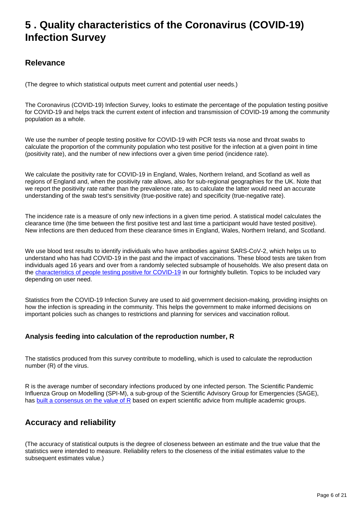# <span id="page-5-0"></span>**5 . Quality characteristics of the Coronavirus (COVID-19) Infection Survey**

# **Relevance**

(The degree to which statistical outputs meet current and potential user needs.)

The Coronavirus (COVID-19) Infection Survey, looks to estimate the percentage of the population testing positive for COVID-19 and helps track the current extent of infection and transmission of COVID-19 among the community population as a whole.

We use the number of people testing positive for COVID-19 with PCR tests via nose and throat swabs to calculate the proportion of the community population who test positive for the infection at a given point in time (positivity rate), and the number of new infections over a given time period (incidence rate).

We calculate the positivity rate for COVID-19 in England, Wales, Northern Ireland, and Scotland as well as regions of England and, when the positivity rate allows, also for sub-regional geographies for the UK. Note that we report the positivity rate rather than the prevalence rate, as to calculate the latter would need an accurate understanding of the swab test's sensitivity (true-positive rate) and specificity (true-negative rate).

The incidence rate is a measure of only new infections in a given time period. A statistical model calculates the clearance time (the time between the first positive test and last time a participant would have tested positive). New infections are then deduced from these clearance times in England, Wales, Northern Ireland, and Scotland.

We use blood test results to identify individuals who have antibodies against SARS-CoV-2, which helps us to understand who has had COVID-19 in the past and the impact of vaccinations. These blood tests are taken from individuals aged 16 years and over from a randomly selected subsample of households. We also present data on the [characteristics of people testing positive for COVID-19](https://www.ons.gov.uk/peoplepopulationandcommunity/healthandsocialcare/conditionsanddiseases/bulletins/coronaviruscovid19infectionsurveycharacteristicsofpeopletestingpositiveforcovid19uk/latest) in our fortnightly bulletin. Topics to be included vary depending on user need.

Statistics from the COVID-19 Infection Survey are used to aid government decision-making, providing insights on how the infection is spreading in the community. This helps the government to make informed decisions on important policies such as changes to restrictions and planning for services and vaccination rollout.

#### **Analysis feeding into calculation of the reproduction number, R**

The statistics produced from this survey contribute to modelling, which is used to calculate the reproduction number (R) of the virus.

R is the average number of secondary infections produced by one infected person. The Scientific Pandemic Influenza Group on Modelling (SPI-M), a sub-group of the Scientific Advisory Group for Emergencies (SAGE), has [built a consensus on the value of R](https://www.gov.uk/guidance/the-r-number-in-the-uk) based on expert scientific advice from multiple academic groups.

# **Accuracy and reliability**

(The accuracy of statistical outputs is the degree of closeness between an estimate and the true value that the statistics were intended to measure. Reliability refers to the closeness of the initial estimates value to the subsequent estimates value.)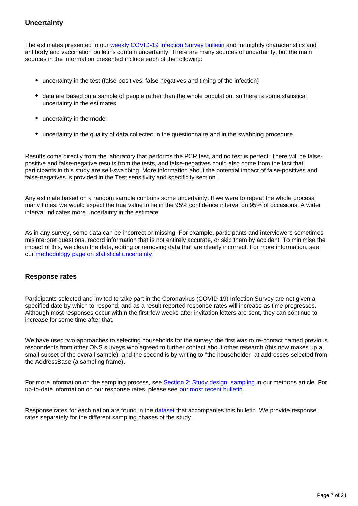#### **Uncertainty**

The estimates presented in our [weekly COVID-19 Infection Survey bulletin](https://www.ons.gov.uk/peoplepopulationandcommunity/healthandsocialcare/conditionsanddiseases/bulletins/coronaviruscovid19infectionsurveypilot/latest) and fortnightly characteristics and antibody and vaccination bulletins contain uncertainty. There are many sources of uncertainty, but the main sources in the information presented include each of the following:

- uncertainty in the test (false-positives, false-negatives and timing of the infection)
- data are based on a sample of people rather than the whole population, so there is some statistical uncertainty in the estimates
- uncertainty in the model
- uncertainty in the quality of data collected in the questionnaire and in the swabbing procedure

Results come directly from the laboratory that performs the PCR test, and no test is perfect. There will be falsepositive and false-negative results from the tests, and false-negatives could also come from the fact that participants in this study are self-swabbing. More information about the potential impact of false-positives and false-negatives is provided in the Test sensitivity and specificity section.

Any estimate based on a random sample contains some uncertainty. If we were to repeat the whole process many times, we would expect the true value to lie in the 95% confidence interval on 95% of occasions. A wider interval indicates more uncertainty in the estimate.

As in any survey, some data can be incorrect or missing. For example, participants and interviewers sometimes misinterpret questions, record information that is not entirely accurate, or skip them by accident. To minimise the impact of this, we clean the data, editing or removing data that are clearly incorrect. For more information, see our [methodology page on statistical uncertainty.](https://www.ons.gov.uk/methodology/methodologytopicsandstatisticalconcepts/uncertaintyandhowwemeasureit)

#### **Response rates**

Participants selected and invited to take part in the Coronavirus (COVID-19) Infection Survey are not given a specified date by which to respond, and as a result reported response rates will increase as time progresses. Although most responses occur within the first few weeks after invitation letters are sent, they can continue to increase for some time after that.

We have used two approaches to selecting households for the survey: the first was to re-contact named previous respondents from other ONS surveys who agreed to further contact about other research (this now makes up a small subset of the overall sample), and the second is by writing to "the householder" at addresses selected from the AddressBase (a sampling frame).

For more information on the sampling process, see [Section 2: Study design: sampling](https://www.ons.gov.uk/peoplepopulationandcommunity/healthandsocialcare/conditionsanddiseases/methodologies/covid19infectionsurveypilotmethodsandfurtherinformation#study-design-sampling) in our methods article. For up-to-date information on our response rates, please see [our most recent bulletin](https://www.ons.gov.uk/peoplepopulationandcommunity/healthandsocialcare/conditionsanddiseases/bulletins/coronaviruscovid19infectionsurveypilot/latest).

Response rates for each nation are found in the [dataset](https://www.ons.gov.uk/peoplepopulationandcommunity/healthandsocialcare/conditionsanddiseases/datasets/covid19infectionsurveytechnicaldata) that accompanies this bulletin. We provide response rates separately for the different sampling phases of the study.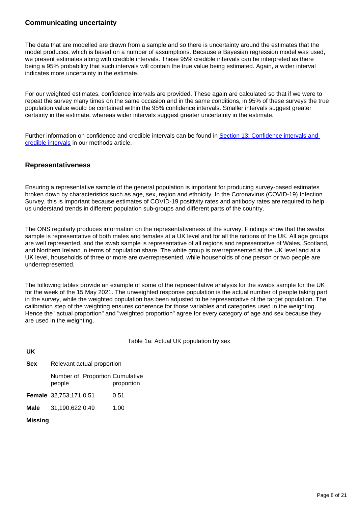#### **Communicating uncertainty**

The data that are modelled are drawn from a sample and so there is uncertainty around the estimates that the model produces, which is based on a number of assumptions. Because a Bayesian regression model was used, we present estimates along with credible intervals. These 95% credible intervals can be interpreted as there being a 95% probability that such intervals will contain the true value being estimated. Again, a wider interval indicates more uncertainty in the estimate.

For our weighted estimates, confidence intervals are provided. These again are calculated so that if we were to repeat the survey many times on the same occasion and in the same conditions, in 95% of these surveys the true population value would be contained within the 95% confidence intervals. Smaller intervals suggest greater certainty in the estimate, whereas wider intervals suggest greater uncertainty in the estimate.

Further information on confidence and credible intervals can be found in [Section 13: Confidence intervals and](https://www.ons.gov.uk/peoplepopulationandcommunity/healthandsocialcare/conditionsanddiseases/methodologies/covid19infectionsurveypilotmethodsandfurtherinformation#confidence-intervals-and-credible-intervals)  [credible intervals](https://www.ons.gov.uk/peoplepopulationandcommunity/healthandsocialcare/conditionsanddiseases/methodologies/covid19infectionsurveypilotmethodsandfurtherinformation#confidence-intervals-and-credible-intervals) in our methods article.

#### **Representativeness**

Ensuring a representative sample of the general population is important for producing survey-based estimates broken down by characteristics such as age, sex, region and ethnicity. In the Coronavirus (COVID-19) Infection Survey, this is important because estimates of COVID-19 positivity rates and antibody rates are required to help us understand trends in different population sub-groups and different parts of the country.

The ONS regularly produces information on the representativeness of the survey. Findings show that the swabs sample is representative of both males and females at a UK level and for all the nations of the UK. All age groups are well represented, and the swab sample is representative of all regions and representative of Wales, Scotland, and Northern Ireland in terms of population share. The white group is overrepresented at the UK level and at a UK level, households of three or more are overrepresented, while households of one person or two people are underrepresented.

The following tables provide an example of some of the representative analysis for the swabs sample for the UK for the week of the 15 May 2021. The unweighted response population is the actual number of people taking part in the survey, while the weighted population has been adjusted to be representative of the target population. The calibration step of the weighting ensures coherence for those variables and categories used in the weighting. Hence the "actual proportion" and "weighted proportion" agree for every category of age and sex because they are used in the weighting.

Table 1a: Actual UK population by sex

#### **UK**

| <b>Sex</b> | Relevant actual proportion |  |                                               |  |  |  |
|------------|----------------------------|--|-----------------------------------------------|--|--|--|
|            | people                     |  | Number of Proportion Cumulative<br>proportion |  |  |  |
|            | Female 32,753,171 0.51     |  | 0.51                                          |  |  |  |
| Male       | 31,190,622 0.49            |  | 1.00                                          |  |  |  |

**Missing**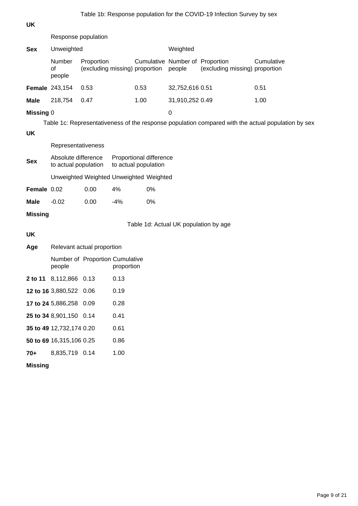#### **UK**

Response population

| <b>Sex</b>       | Unweighted             |                                              |                                 | Weighted        |                                |            |  |
|------------------|------------------------|----------------------------------------------|---------------------------------|-----------------|--------------------------------|------------|--|
|                  | Number<br>οf<br>people | Proportion<br>(excluding missing) proportion | Cumulative Number of Proportion | people          | (excluding missing) proportion | Cumulative |  |
|                  | <b>Female</b> 243,154  | 0.53                                         | 0.53                            | 32,752,616 0.51 |                                | 0.51       |  |
| <b>Male</b>      | 218,754                | 0.47                                         | 1.00                            | 31,910,252 0.49 |                                | 1.00       |  |
| <b>Missing 0</b> |                        |                                              |                                 | 0               |                                |            |  |

Table 1c: Representativeness of the response population compared with the actual population by sex

#### **UK**

Representativeness

| <b>Sex</b>         | Absolute difference<br>to actual population |      | Proportional difference<br>to actual population |       |  |
|--------------------|---------------------------------------------|------|-------------------------------------------------|-------|--|
|                    |                                             |      | Unweighted Weighted Unweighted Weighted         |       |  |
| <b>Female 0.02</b> |                                             | 0.00 | 4%                                              | $0\%$ |  |
| Male               | $-0.02$                                     | 0.00 | $-4%$                                           | 0%    |  |

### **Missing**

Table 1d: Actual UK population by age

### **UK**

**Age** Relevant actual proportion

|     | people                   | Number of Proportion Cumulative<br>proportion |
|-----|--------------------------|-----------------------------------------------|
|     | 2 to 11 8,112,866 0.13   | 0.13                                          |
|     | 12 to 16 3,880,522 0.06  | 0.19                                          |
|     | 17 to 24 5,886,258 0.09  | 0.28                                          |
|     | 25 to 34 8,901,150 0.14  | 0.41                                          |
|     | 35 to 49 12,732,174 0.20 | 0.61                                          |
|     | 50 to 69 16,315,106 0.25 | 0.86                                          |
| 70+ | 8.835.719 0.14           | 1.00                                          |
|     |                          |                                               |

#### **Missing**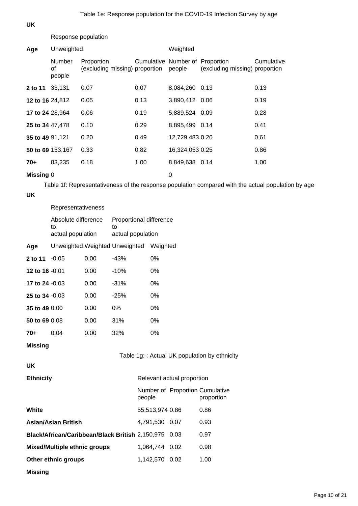#### **UK**

Response population

| Age                    | Unweighted             |                                              |                                 | Weighted        |                                |            |  |
|------------------------|------------------------|----------------------------------------------|---------------------------------|-----------------|--------------------------------|------------|--|
|                        | Number<br>οf<br>people | Proportion<br>(excluding missing) proportion | Cumulative Number of Proportion | people          | (excluding missing) proportion | Cumulative |  |
| 2 to 11                | 33,131                 | 0.07                                         | 0.07                            | 8,084,260 0.13  |                                | 0.13       |  |
| 12 to 16 24,812        |                        | 0.05                                         | 0.13                            | 3,890,412 0.06  |                                | 0.19       |  |
| <b>17 to 24 28,964</b> |                        | 0.06                                         | 0.19                            | 5,889,524 0.09  |                                | 0.28       |  |
| 25 to 34 47,478        |                        | 0.10                                         | 0.29                            | 8,895,499 0.14  |                                | 0.41       |  |
| 35 to 49 91,121        |                        | 0.20                                         | 0.49                            | 12,729,483 0.20 |                                | 0.61       |  |
| 50 to 69 153,167       |                        | 0.33                                         | 0.82                            | 16,324,053 0.25 |                                | 0.86       |  |
| 70+                    | 83,235                 | 0.18                                         | 1.00                            | 8,849,638 0.14  |                                | 1.00       |  |
| Missing 0              |                        |                                              |                                 | 0               |                                |            |  |

Table 1f: Representativeness of the response population compared with the actual population by age

#### **UK**

|                                                 | Representativeness             |      |                   |                         |                 |                            |                                               |  |  |
|-------------------------------------------------|--------------------------------|------|-------------------|-------------------------|-----------------|----------------------------|-----------------------------------------------|--|--|
|                                                 | Absolute difference<br>to      |      | to                | Proportional difference |                 |                            |                                               |  |  |
|                                                 | actual population              |      | actual population |                         |                 |                            |                                               |  |  |
| Age                                             | Unweighted Weighted Unweighted |      |                   |                         | Weighted        |                            |                                               |  |  |
| 2 to 11 -0.05                                   |                                | 0.00 | $-43%$            |                         | 0%              |                            |                                               |  |  |
| 12 to 16 -0.01                                  |                                | 0.00 | $-10%$            |                         | 0%              |                            |                                               |  |  |
| 17 to 24 -0.03                                  |                                | 0.00 | $-31%$            |                         | 0%              |                            |                                               |  |  |
| 25 to 34 -0.03                                  |                                | 0.00 | $-25%$            |                         | 0%              |                            |                                               |  |  |
| 35 to 49 0.00                                   |                                | 0.00 | 0%                |                         | 0%              |                            |                                               |  |  |
| 50 to 69 0.08                                   |                                | 0.00 | 31%               |                         | 0%              |                            |                                               |  |  |
| $70+$                                           | 0.04                           | 0.00 | 32%               |                         | 0%              |                            |                                               |  |  |
| <b>Missing</b>                                  |                                |      |                   |                         |                 |                            |                                               |  |  |
|                                                 |                                |      |                   |                         |                 |                            | Table 1g: : Actual UK population by ethnicity |  |  |
| <b>UK</b>                                       |                                |      |                   |                         |                 |                            |                                               |  |  |
| <b>Ethnicity</b>                                |                                |      |                   |                         |                 | Relevant actual proportion |                                               |  |  |
|                                                 |                                |      |                   | people                  |                 |                            | Number of Proportion Cumulative<br>proportion |  |  |
| White                                           |                                |      |                   |                         | 55,513,974 0.86 |                            | 0.86                                          |  |  |
| <b>Asian/Asian British</b>                      |                                |      |                   | 4,791,530               | 0.07            | 0.93                       |                                               |  |  |
| Black/African/Caribbean/Black British 2,150,975 |                                |      |                   |                         | 0.03            | 0.97                       |                                               |  |  |
| <b>Mixed/Multiple ethnic groups</b>             |                                |      |                   | 1,064,744               | 0.02            | 0.98                       |                                               |  |  |
|                                                 | Other ethnic groups            |      |                   |                         | 1,142,570 0.02  |                            | 1.00                                          |  |  |
| <b>Missing</b>                                  |                                |      |                   |                         |                 |                            |                                               |  |  |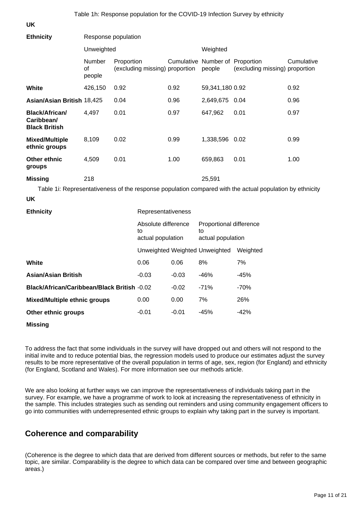Table 1h: Response population for the COVID-19 Infection Survey by ethnicity

**UK**

| <b>Ethnicity</b>                                            | Response population    |                                                |                                |                                                    |                                           |                                                                                                          |            |  |
|-------------------------------------------------------------|------------------------|------------------------------------------------|--------------------------------|----------------------------------------------------|-------------------------------------------|----------------------------------------------------------------------------------------------------------|------------|--|
|                                                             | Unweighted             |                                                |                                |                                                    | Weighted                                  |                                                                                                          |            |  |
|                                                             | Number<br>of<br>people | Proportion                                     | (excluding missing) proportion |                                                    | Cumulative Number of Proportion<br>people | (excluding missing) proportion                                                                           | Cumulative |  |
| White                                                       | 426,150                | 0.92                                           |                                | 0.92                                               | 59,341,180 0.92                           |                                                                                                          | 0.92       |  |
| Asian/Asian British 18,425                                  |                        | 0.04                                           |                                | 0.96                                               | 2,649,675 0.04                            |                                                                                                          | 0.96       |  |
| <b>Black/African/</b><br>Caribbean/<br><b>Black British</b> | 4,497                  | 0.01                                           |                                | 0.97                                               | 647,962                                   | 0.01                                                                                                     | 0.97       |  |
| <b>Mixed/Multiple</b><br>ethnic groups                      | 8,109                  | 0.02                                           |                                | 0.99                                               | 1,338,596 0.02                            |                                                                                                          | 0.99       |  |
| Other ethnic<br>groups                                      | 4,509                  | 0.01                                           |                                | 1.00                                               | 659,863                                   | 0.01                                                                                                     | 1.00       |  |
| <b>Missing</b>                                              | 218                    |                                                |                                |                                                    | 25,591                                    |                                                                                                          |            |  |
|                                                             |                        |                                                |                                |                                                    |                                           | Table 1i: Representativeness of the response population compared with the actual population by ethnicity |            |  |
| <b>UK</b>                                                   |                        |                                                |                                |                                                    |                                           |                                                                                                          |            |  |
| <b>Ethnicity</b>                                            |                        |                                                | Representativeness             |                                                    |                                           |                                                                                                          |            |  |
|                                                             |                        | Absolute difference<br>to<br>actual population |                                | Proportional difference<br>to<br>actual population |                                           |                                                                                                          |            |  |
|                                                             |                        |                                                | Unweighted Weighted Unweighted |                                                    |                                           | Weighted                                                                                                 |            |  |
| White                                                       |                        |                                                | 0.06                           | 0.06                                               | 8%                                        | 7%                                                                                                       |            |  |
| <b>Asian/Asian British</b>                                  |                        |                                                | $-0.03$                        | $-0.03$                                            | $-46%$                                    | $-45%$                                                                                                   |            |  |
| Black/African/Caribbean/Black British -0.02                 |                        |                                                |                                | $-0.02$                                            | $-71%$                                    | $-70%$                                                                                                   |            |  |
| <b>Mixed/Multiple ethnic groups</b>                         |                        |                                                | 0.00                           | 0.00                                               | 7%                                        | 26%                                                                                                      |            |  |
| Other ethnic groups                                         |                        |                                                | $-0.01$                        | $-0.01$                                            | $-45%$                                    | $-42%$                                                                                                   |            |  |

**Missing**

To address the fact that some individuals in the survey will have dropped out and others will not respond to the initial invite and to reduce potential bias, the regression models used to produce our estimates adjust the survey results to be more representative of the overall population in terms of age, sex, region (for England) and ethnicity (for England, Scotland and Wales). For more information see our methods article.

We are also looking at further ways we can improve the representativeness of individuals taking part in the survey. For example, we have a programme of work to look at increasing the representativeness of ethnicity in the sample. This includes strategies such as sending out reminders and using community engagement officers to go into communities with underrepresented ethnic groups to explain why taking part in the survey is important.

# **Coherence and comparability**

(Coherence is the degree to which data that are derived from different sources or methods, but refer to the same topic, are similar. Comparability is the degree to which data can be compared over time and between geographic areas.)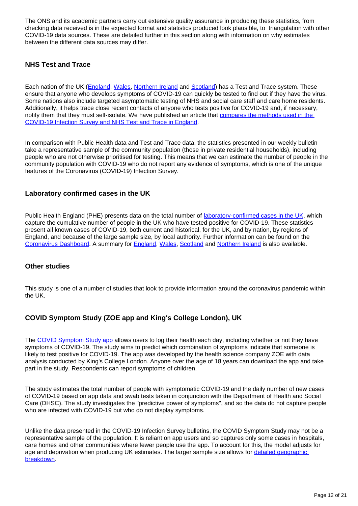The ONS and its academic partners carry out extensive quality assurance in producing these statistics, from checking data received is in the expected format and statistics produced look plausible, to triangulation with other COVID-19 data sources. These are detailed further in this section along with information on why estimates between the different data sources may differ.

### **NHS Test and Trace**

Each nation of the UK ([England](https://www.gov.uk/guidance/nhs-test-and-trace-how-it-works?priority-taxon=774cee22-d896-44c1-a611-e3109cce8eae), [Wales](https://gov.wales/test-trace-protect-contact-tracing-coronavirus-covid-19), [Northern Ireland](https://www.nidirect.gov.uk/articles/coronavirus-covid-19-testing-and-contact-tracing) and [Scotland\)](https://www.gov.scot/publications/coronavirus-covid-19-test-trace-isolate-support/) has a Test and Trace system. These ensure that anyone who develops symptoms of COVID-19 can quickly be tested to find out if they have the virus. Some nations also include targeted asymptomatic testing of NHS and social care staff and care home residents. Additionally, it helps trace close recent contacts of anyone who tests positive for COVID-19 and, if necessary, notify them that they must self-isolate. We have published an article that [compares the methods used in the](https://www.ons.gov.uk/peoplepopulationandcommunity/healthandsocialcare/conditionsanddiseases/articles/comparingmethodsusedinthecoronaviruscovid19infectionsurveyandnhstestandtraceengland/october2020)  [COVID-19 Infection Survey and NHS Test and Trace in England](https://www.ons.gov.uk/peoplepopulationandcommunity/healthandsocialcare/conditionsanddiseases/articles/comparingmethodsusedinthecoronaviruscovid19infectionsurveyandnhstestandtraceengland/october2020).

In comparison with Public Health data and Test and Trace data, the statistics presented in our weekly bulletin take a representative sample of the community population (those in private residential households), including people who are not otherwise prioritised for testing. This means that we can estimate the number of people in the community population with COVID-19 who do not report any evidence of symptoms, which is one of the unique features of the Coronavirus (COVID-19) Infection Survey.

#### **Laboratory confirmed cases in the UK**

Public Health England (PHE) presents data on the total number of [laboratory-confirmed cases in the UK,](https://coronavirus.data.gov.uk/details/cases) which capture the cumulative number of people in the UK who have tested positive for COVID-19. These statistics present all known cases of COVID-19, both current and historical, for the UK, and by nation, by regions of England, and because of the large sample size, by local authority. Further information can be found on the [Coronavirus Dashboard](https://coronavirus.data.gov.uk/). A summary for [England,](https://www.gov.uk/government/publications/national-covid-19-surveillance-reports) [Wales,](https://gov.wales/test-trace-protect-contact-tracing-coronavirus-covid-19) [Scotland](https://www.gov.scot/publications/coronavirus-covid-19-daily-data-for-scotland/) and [Northern Ireland](https://app.powerbi.com/view?r=eyJrIjoiZGYxNjYzNmUtOTlmZS00ODAxLWE1YTEtMjA0NjZhMzlmN2JmIiwidCI6IjljOWEzMGRlLWQ4ZDctNGFhNC05NjAwLTRiZTc2MjVmZjZjNSIsImMiOjh9) is also available.

#### **Other studies**

This study is one of a number of studies that look to provide information around the coronavirus pandemic within the UK.

#### **COVID Symptom Study (ZOE app and King's College London), UK**

The [COVID Symptom Study app](https://covid.joinzoe.com/) allows users to log their health each day, including whether or not they have symptoms of COVID-19. The study aims to predict which combination of symptoms indicate that someone is likely to test positive for COVID-19. The app was developed by the health science company ZOE with data analysis conducted by King's College London. Anyone over the age of 18 years can download the app and take part in the study. Respondents can report symptoms of children.

The study estimates the total number of people with symptomatic COVID-19 and the daily number of new cases of COVID-19 based on app data and swab tests taken in conjunction with the Department of Health and Social Care (DHSC). The study investigates the "predictive power of symptoms", and so the data do not capture people who are infected with COVID-19 but who do not display symptoms.

Unlike the data presented in the COVID-19 Infection Survey bulletins, the COVID Symptom Study may not be a representative sample of the population. It is reliant on app users and so captures only some cases in hospitals, care homes and other communities where fewer people use the app. To account for this, the model adjusts for age and deprivation when producing UK estimates. The larger sample size allows for [detailed geographic](https://covid.joinzoe.com/data)  [breakdown](https://covid.joinzoe.com/data).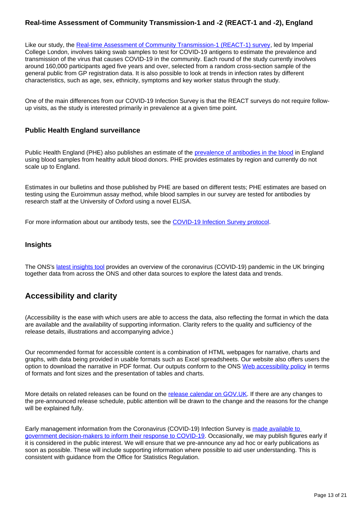#### **Real-time Assessment of Community Transmission-1 and -2 (REACT-1 and -2), England**

Like our study, the [Real-time Assessment of Community Transmission-1 \(REACT-1\) survey,](https://www.imperial.ac.uk/medicine/research-and-impact/groups/react-study/the-react-1-programme/) led by Imperial College London, involves taking swab samples to test for COVID-19 antigens to estimate the prevalence and transmission of the virus that causes COVID-19 in the community. Each round of the study currently involves around 160,000 participants aged five years and over, selected from a random cross-section sample of the general public from GP registration data. It is also possible to look at trends in infection rates by different characteristics, such as age, sex, ethnicity, symptoms and key worker status through the study.

One of the main differences from our COVID-19 Infection Survey is that the REACT surveys do not require followup visits, as the study is interested primarily in prevalence at a given time point.

#### **Public Health England surveillance**

Public Health England (PHE) also publishes an estimate of the [prevalence of antibodies in the blood](https://www.gov.uk/government/publications/national-covid-19-surveillance-reports/sero-surveillance-of-covid-19) in England using blood samples from healthy adult blood donors. PHE provides estimates by region and currently do not scale up to England.

Estimates in our bulletins and those published by PHE are based on different tests; PHE estimates are based on testing using the Euroimmun assay method, while blood samples in our survey are tested for antibodies by research staff at the University of Oxford using a novel ELISA.

For more information about our antibody tests, see the [COVID-19 Infection Survey protocol.](https://www.ndm.ox.ac.uk/protocol-and-information-sheets)

#### **Insights**

The ONS's [latest insights tool](https://www.ons.gov.uk/peoplepopulationandcommunity/healthandsocialcare/conditionsanddiseases/articles/coronaviruscovid19/latestinsights) provides an overview of the coronavirus (COVID-19) pandemic in the UK bringing together data from across the ONS and other data sources to explore the latest data and trends.

# **Accessibility and clarity**

(Accessibility is the ease with which users are able to access the data, also reflecting the format in which the data are available and the availability of supporting information. Clarity refers to the quality and sufficiency of the release details, illustrations and accompanying advice.)

Our recommended format for accessible content is a combination of HTML webpages for narrative, charts and graphs, with data being provided in usable formats such as Excel spreadsheets. Our website also offers users the option to download the narrative in PDF format. Our outputs conform to the ONS [Web accessibility policy](https://style.ons.gov.uk/writing-for-the-web/web-accessibility/datasets/) in terms of formats and font sizes and the presentation of tables and charts.

More details on related releases can be found on the [release calendar on GOV.UK.](https://www.gov.uk/government/statistics/announcements) If there are any changes to the pre-announced release schedule, public attention will be drawn to the change and the reasons for the change will be explained fully.

Early management information from the Coronavirus (COVID-19) Infection Survey is made available to [government decision-makers to inform their response to COVID-19.](https://www.ons.gov.uk/news/statementsandletters/provisionofearlymanagementinformationbytheonstoinformoperationaldecisionmakingforthepublicgoodduringthecoronaviruspandemic) Occasionally, we may publish figures early if it is considered in the public interest. We will ensure that we pre-announce any ad hoc or early publications as soon as possible. These will include supporting information where possible to aid user understanding. This is consistent with guidance from the Office for Statistics Regulation.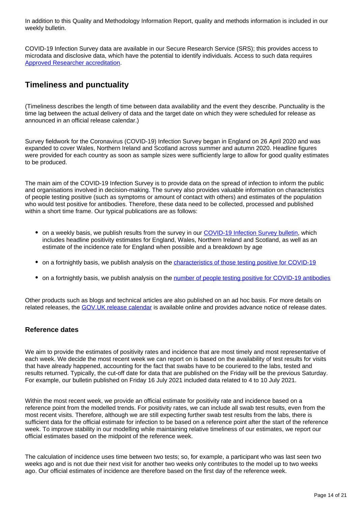In addition to this Quality and Methodology Information Report, quality and methods information is included in our weekly bulletin.

COVID-19 Infection Survey data are available in our Secure Research Service (SRS); this provides access to microdata and disclosive data, which have the potential to identify individuals. Access to such data requires [Approved Researcher accreditation.](https://www.ons.gov.uk/aboutus/whatwedo/statistics/requestingstatistics/approvedresearcherscheme)

# **Timeliness and punctuality**

(Timeliness describes the length of time between data availability and the event they describe. Punctuality is the time lag between the actual delivery of data and the target date on which they were scheduled for release as announced in an official release calendar.)

Survey fieldwork for the Coronavirus (COVID-19) Infection Survey began in England on 26 April 2020 and was expanded to cover Wales, Northern Ireland and Scotland across summer and autumn 2020. Headline figures were provided for each country as soon as sample sizes were sufficiently large to allow for good quality estimates to be produced.

The main aim of the COVID-19 Infection Survey is to provide data on the spread of infection to inform the public and organisations involved in decision-making. The survey also provides valuable information on characteristics of people testing positive (such as symptoms or amount of contact with others) and estimates of the population who would test positive for antibodies. Therefore, these data need to be collected, processed and published within a short time frame. Our typical publications are as follows:

- on a weekly basis, we publish results from the survey in our [COVID-19 Infection Survey bulletin,](https://www.ons.gov.uk/peoplepopulationandcommunity/healthandsocialcare/conditionsanddiseases/bulletins/coronaviruscovid19infectionsurveypilot/latest) which includes headline positivity estimates for England, Wales, Northern Ireland and Scotland, as well as an estimate of the incidence rate for England when possible and a breakdown by age
- on a fortnightly basis, we publish analysis on the [characteristics of those testing positive for COVID-19](https://www.ons.gov.uk/peoplepopulationandcommunity/healthandsocialcare/conditionsanddiseases/bulletins/coronaviruscovid19infectionsurveycharacteristicsofpeopletestingpositiveforcovid19uk/latest)
- on a fortnightly basis, we publish analysis on the [number of people testing positive for COVID-19 antibodies](https://www.ons.gov.uk/peoplepopulationandcommunity/healthandsocialcare/conditionsanddiseases/bulletins/coronaviruscovid19infectionsurveyantibodyandvaccinationdatafortheuk/latest)

Other products such as blogs and technical articles are also published on an ad hoc basis. For more details on related releases, the [GOV.UK release calendar](https://www.gov.uk/government/statistics/announcements) is available online and provides advance notice of release dates.

#### **Reference dates**

We aim to provide the estimates of positivity rates and incidence that are most timely and most representative of each week. We decide the most recent week we can report on is based on the availability of test results for visits that have already happened, accounting for the fact that swabs have to be couriered to the labs, tested and results returned. Typically, the cut-off date for data that are published on the Friday will be the previous Saturday. For example, our bulletin published on Friday 16 July 2021 included data related to 4 to 10 July 2021.

Within the most recent week, we provide an official estimate for positivity rate and incidence based on a reference point from the modelled trends. For positivity rates, we can include all swab test results, even from the most recent visits. Therefore, although we are still expecting further swab test results from the labs, there is sufficient data for the official estimate for infection to be based on a reference point after the start of the reference week. To improve stability in our modelling while maintaining relative timeliness of our estimates, we report our official estimates based on the midpoint of the reference week.

The calculation of incidence uses time between two tests; so, for example, a participant who was last seen two weeks ago and is not due their next visit for another two weeks only contributes to the model up to two weeks ago. Our official estimates of incidence are therefore based on the first day of the reference week.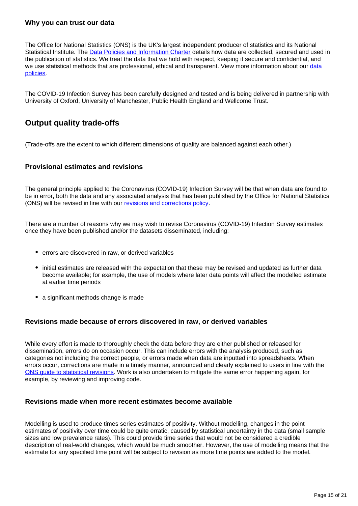#### **Why you can trust our data**

The Office for National Statistics (ONS) is the UK's largest independent producer of statistics and its National Statistical Institute. The [Data Policies and Information Charter](https://www.ons.gov.uk/aboutus/transparencyandgovernance/lookingafterandusingdataforpublicbenefit/policies) details how data are collected, secured and used in the publication of statistics. We treat the data that we hold with respect, keeping it secure and confidential, and we use statistical methods that are professional, ethical and transparent. View more information about our data [policies.](https://www.ons.gov.uk/aboutus/transparencyandgovernance/dataprotection)

The COVID-19 Infection Survey has been carefully designed and tested and is being delivered in partnership with University of Oxford, University of Manchester, Public Health England and Wellcome Trust.

# **Output quality trade-offs**

(Trade-offs are the extent to which different dimensions of quality are balanced against each other.)

#### **Provisional estimates and revisions**

The general principle applied to the Coronavirus (COVID-19) Infection Survey will be that when data are found to be in error, both the data and any associated analysis that has been published by the Office for National Statistics (ONS) will be revised in line with our [revisions and corrections policy.](https://www.ons.gov.uk/methodology/methodologytopicsandstatisticalconcepts/revisions/guidetostatisticalrevisions)

There are a number of reasons why we may wish to revise Coronavirus (COVID-19) Infection Survey estimates once they have been published and/or the datasets disseminated, including:

- errors are discovered in raw, or derived variables
- initial estimates are released with the expectation that these may be revised and updated as further data become available; for example, the use of models where later data points will affect the modelled estimate at earlier time periods
- a significant methods change is made

#### **Revisions made because of errors discovered in raw, or derived variables**

While every effort is made to thoroughly check the data before they are either published or released for dissemination, errors do on occasion occur. This can include errors with the analysis produced, such as categories not including the correct people, or errors made when data are inputted into spreadsheets. When errors occur, corrections are made in a timely manner, announced and clearly explained to users in line with the [ONS guide to statistical revisions](https://www.ons.gov.uk/methodology/methodologytopicsandstatisticalconcepts/revisions/guidetostatisticalrevisions). Work is also undertaken to mitigate the same error happening again, for example, by reviewing and improving code.

#### **Revisions made when more recent estimates become available**

Modelling is used to produce times series estimates of positivity. Without modelling, changes in the point estimates of positivity over time could be quite erratic, caused by statistical uncertainty in the data (small sample sizes and low prevalence rates). This could provide time series that would not be considered a credible description of real-world changes, which would be much smoother. However, the use of modelling means that the estimate for any specified time point will be subject to revision as more time points are added to the model.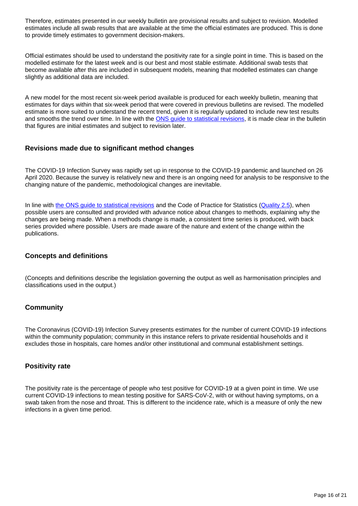Therefore, estimates presented in our weekly bulletin are provisional results and subject to revision. Modelled estimates include all swab results that are available at the time the official estimates are produced. This is done to provide timely estimates to government decision-makers.

Official estimates should be used to understand the positivity rate for a single point in time. This is based on the modelled estimate for the latest week and is our best and most stable estimate. Additional swab tests that become available after this are included in subsequent models, meaning that modelled estimates can change slightly as additional data are included.

A new model for the most recent six-week period available is produced for each weekly bulletin, meaning that estimates for days within that six-week period that were covered in previous bulletins are revised. The modelled estimate is more suited to understand the recent trend, given it is regularly updated to include new test results and smooths the trend over time. In line with the [ONS guide to statistical revisions,](https://www.ons.gov.uk/methodology/methodologytopicsandstatisticalconcepts/revisions/guidetostatisticalrevisions) it is made clear in the bulletin that figures are initial estimates and subject to revision later.

#### **Revisions made due to significant method changes**

The COVID-19 Infection Survey was rapidly set up in response to the COVID-19 pandemic and launched on 26 April 2020. Because the survey is relatively new and there is an ongoing need for analysis to be responsive to the changing nature of the pandemic, methodological changes are inevitable.

In line with [the ONS guide to statistical revisions](https://www.ons.gov.uk/methodology/methodologytopicsandstatisticalconcepts/revisions/guidetostatisticalrevisions) and the Code of Practice for Statistics [\(Quality 2.5](https://code.statisticsauthority.gov.uk/the-code/quality/q2-sound-methods/)), when possible users are consulted and provided with advance notice about changes to methods, explaining why the changes are being made. When a methods change is made, a consistent time series is produced, with back series provided where possible. Users are made aware of the nature and extent of the change within the publications.

#### **Concepts and definitions**

(Concepts and definitions describe the legislation governing the output as well as harmonisation principles and classifications used in the output.)

#### **Community**

The Coronavirus (COVID-19) Infection Survey presents estimates for the number of current COVID-19 infections within the community population; community in this instance refers to private residential households and it excludes those in hospitals, care homes and/or other institutional and communal establishment settings.

#### **Positivity rate**

The positivity rate is the percentage of people who test positive for COVID-19 at a given point in time. We use current COVID-19 infections to mean testing positive for SARS-CoV-2, with or without having symptoms, on a swab taken from the nose and throat. This is different to the incidence rate, which is a measure of only the new infections in a given time period.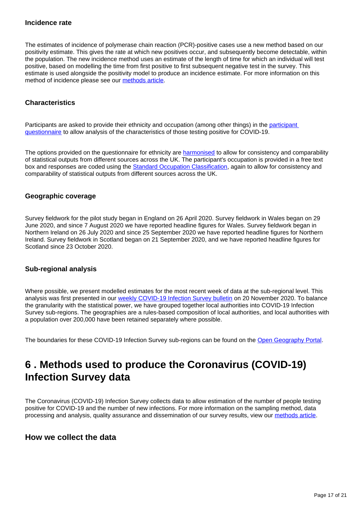#### **Incidence rate**

The estimates of incidence of polymerase chain reaction (PCR)-positive cases use a new method based on our positivity estimate. This gives the rate at which new positives occur, and subsequently become detectable, within the population. The new incidence method uses an estimate of the length of time for which an individual will test positive, based on modelling the time from first positive to first subsequent negative test in the survey. This estimate is used alongside the positivity model to produce an incidence estimate. For more information on this method of incidence please see our [methods article](https://www.ons.gov.uk/peoplepopulationandcommunity/healthandsocialcare/conditionsanddiseases/methodologies/covid19infectionsurveypilotmethodsandfurtherinformation#incidence).

#### **Characteristics**

Participants are asked to provide their ethnicity and occupation (among other things) in the [participant](https://www.ndm.ox.ac.uk/covid-19/covid-19-infection-survey/case-record-forms)  [questionnaire](https://www.ndm.ox.ac.uk/covid-19/covid-19-infection-survey/case-record-forms) to allow analysis of the characteristics of those testing positive for COVID-19.

The options provided on the questionnaire for ethnicity are [harmonised](https://www.ons.gov.uk/methodology/classificationsandstandards/measuringequality/ethnicgroupnationalidentityandreligion) to allow for consistency and comparability of statistical outputs from different sources across the UK. The participant's occupation is provided in a free text box and responses are coded using the [Standard Occupation Classification](https://www.ons.gov.uk/methodology/classificationsandstandards/standardoccupationalclassificationsoc/soc2020), again to allow for consistency and comparability of statistical outputs from different sources across the UK.

#### **Geographic coverage**

Survey fieldwork for the pilot study began in England on 26 April 2020. Survey fieldwork in Wales began on 29 June 2020, and since 7 August 2020 we have reported headline figures for Wales. Survey fieldwork began in Northern Ireland on 26 July 2020 and since 25 September 2020 we have reported headline figures for Northern Ireland. Survey fieldwork in Scotland began on 21 September 2020, and we have reported headline figures for Scotland since 23 October 2020.

#### **Sub-regional analysis**

Where possible, we present modelled estimates for the most recent week of data at the sub-regional level. This analysis was first presented in our [weekly COVID-19 Infection Survey bulletin](https://www.ons.gov.uk/peoplepopulationandcommunity/healthandsocialcare/conditionsanddiseases/bulletins/coronaviruscovid19infectionsurveypilot/20november2020#sub-regional-analysis-of-the-number-of-people-in-england-who-had-covid-19) on 20 November 2020. To balance the granularity with the statistical power, we have grouped together local authorities into COVID-19 Infection Survey sub-regions. The geographies are a rules-based composition of local authorities, and local authorities with a population over 200,000 have been retained separately where possible.

The boundaries for these COVID-19 Infection Survey sub-regions can be found on the [Open Geography Portal.](https://geoportal.statistics.gov.uk/search?collection=Dataset&sort=name&tags=all%28BDY_CIS%2COCT_2020)

# <span id="page-16-0"></span>**6 . Methods used to produce the Coronavirus (COVID-19) Infection Survey data**

The Coronavirus (COVID-19) Infection Survey collects data to allow estimation of the number of people testing positive for COVID-19 and the number of new infections. For more information on the sampling method, data processing and analysis, quality assurance and dissemination of our survey results, view our [methods article](https://www.ons.gov.uk/peoplepopulationandcommunity/healthandsocialcare/conditionsanddiseases/methodologies/covid19infectionsurveypilotmethodsandfurtherinformation).

### **How we collect the data**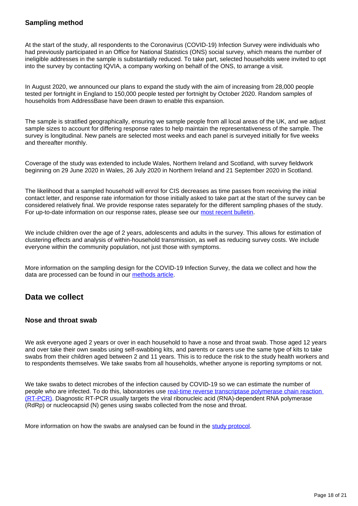#### **Sampling method**

At the start of the study, all respondents to the Coronavirus (COVID-19) Infection Survey were individuals who had previously participated in an Office for National Statistics (ONS) social survey, which means the number of ineligible addresses in the sample is substantially reduced. To take part, selected households were invited to opt into the survey by contacting IQVIA, a company working on behalf of the ONS, to arrange a visit.

In August 2020, we announced our plans to expand the study with the aim of increasing from 28,000 people tested per fortnight in England to 150,000 people tested per fortnight by October 2020. Random samples of households from AddressBase have been drawn to enable this expansion.

The sample is stratified geographically, ensuring we sample people from all local areas of the UK, and we adjust sample sizes to account for differing response rates to help maintain the representativeness of the sample. The survey is longitudinal. New panels are selected most weeks and each panel is surveyed initially for five weeks and thereafter monthly.

Coverage of the study was extended to include Wales, Northern Ireland and Scotland, with survey fieldwork beginning on 29 June 2020 in Wales, 26 July 2020 in Northern Ireland and 21 September 2020 in Scotland.

The likelihood that a sampled household will enrol for CIS decreases as time passes from receiving the initial contact letter, and response rate information for those initially asked to take part at the start of the survey can be considered relatively final. We provide response rates separately for the different sampling phases of the study. For up-to-date information on our response rates, please see our [most recent bulletin](https://www.ons.gov.uk/peoplepopulationandcommunity/healthandsocialcare/conditionsanddiseases/bulletins/coronaviruscovid19infectionsurveypilot/latest).

We include children over the age of 2 years, adolescents and adults in the survey. This allows for estimation of clustering effects and analysis of within-household transmission, as well as reducing survey costs. We include everyone within the community population, not just those with symptoms.

More information on the sampling design for the COVID-19 Infection Survey, the data we collect and how the data are processed can be found in our [methods article](https://www.ons.gov.uk/peoplepopulationandcommunity/healthandsocialcare/conditionsanddiseases/methodologies/covid19infectionsurveypilotmethodsandfurtherinformation#study-design-sampling).

### **Data we collect**

#### **Nose and throat swab**

We ask everyone aged 2 years or over in each household to have a nose and throat swab. Those aged 12 years and over take their own swabs using self-swabbing kits, and parents or carers use the same type of kits to take swabs from their children aged between 2 and 11 years. This is to reduce the risk to the study health workers and to respondents themselves. We take swabs from all households, whether anyone is reporting symptoms or not.

We take swabs to detect microbes of the infection caused by COVID-19 so we can estimate the number of people who are infected. To do this, laboratories use [real-time reverse transcriptase polymerase chain reaction](https://www.england.nhs.uk/coronavirus/wp-content/uploads/sites/52/2020/03/guidance-and-sop-covid-19-virus-testing-in-nhs-laboratories-v1.pdf)  [\(RT-PCR\).](https://www.england.nhs.uk/coronavirus/wp-content/uploads/sites/52/2020/03/guidance-and-sop-covid-19-virus-testing-in-nhs-laboratories-v1.pdf) Diagnostic RT-PCR usually targets the viral ribonucleic acid (RNA)-dependent RNA polymerase (RdRp) or nucleocapsid (N) genes using swabs collected from the nose and throat.

More information on how the swabs are analysed can be found in the [study protocol.](https://www.ndm.ox.ac.uk/protocol-and-information-sheets)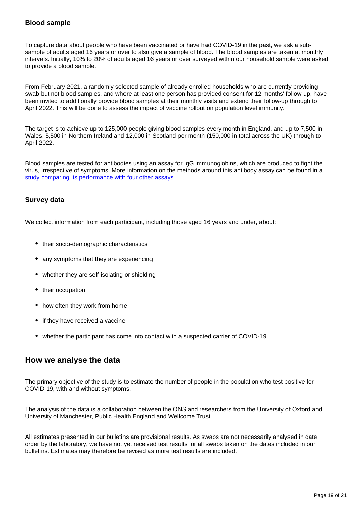#### **Blood sample**

To capture data about people who have been vaccinated or have had COVID-19 in the past, we ask a subsample of adults aged 16 years or over to also give a sample of blood. The blood samples are taken at monthly intervals. Initially, 10% to 20% of adults aged 16 years or over surveyed within our household sample were asked to provide a blood sample.

From February 2021, a randomly selected sample of already enrolled households who are currently providing swab but not blood samples, and where at least one person has provided consent for 12 months' follow-up, have been invited to additionally provide blood samples at their monthly visits and extend their follow-up through to April 2022. This will be done to assess the impact of vaccine rollout on population level immunity.

The target is to achieve up to 125,000 people giving blood samples every month in England, and up to 7,500 in Wales, 5,500 in Northern Ireland and 12,000 in Scotland per month (150,000 in total across the UK) through to April 2022.

Blood samples are tested for antibodies using an assay for IgG immunoglobins, which are produced to fight the virus, irrespective of symptoms. More information on the methods around this antibody assay can be found in a [study comparing its performance with four other assays.](https://doi.org/10.6084/m9.figshare.c.5046032.v1)

#### **Survey data**

We collect information from each participant, including those aged 16 years and under, about:

- their socio-demographic characteristics
- any symptoms that they are experiencing
- whether they are self-isolating or shielding
- their occupation
- how often they work from home
- if they have received a vaccine
- whether the participant has come into contact with a suspected carrier of COVID-19

### **How we analyse the data**

The primary objective of the study is to estimate the number of people in the population who test positive for COVID-19, with and without symptoms.

The analysis of the data is a collaboration between the ONS and researchers from the University of Oxford and University of Manchester, Public Health England and Wellcome Trust.

All estimates presented in our bulletins are provisional results. As swabs are not necessarily analysed in date order by the laboratory, we have not yet received test results for all swabs taken on the dates included in our bulletins. Estimates may therefore be revised as more test results are included.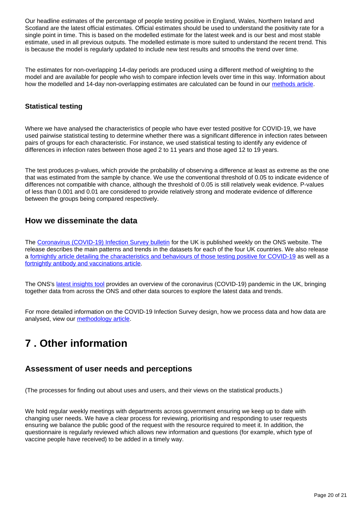Our headline estimates of the percentage of people testing positive in England, Wales, Northern Ireland and Scotland are the latest official estimates. Official estimates should be used to understand the positivity rate for a single point in time. This is based on the modelled estimate for the latest week and is our best and most stable estimate, used in all previous outputs. The modelled estimate is more suited to understand the recent trend. This is because the model is regularly updated to include new test results and smooths the trend over time.

The estimates for non-overlapping 14-day periods are produced using a different method of weighting to the model and are available for people who wish to compare infection levels over time in this way. Information about how the modelled and 14-day non-overlapping estimates are calculated can be found in our [methods article](https://www.ons.gov.uk/peoplepopulationandcommunity/healthandsocialcare/conditionsanddiseases/methodologies/covid19infectionsurveypilotmethodsandfurtherinformation#confidence-intervals-and-credible-intervals).

#### **Statistical testing**

Where we have analysed the characteristics of people who have ever tested positive for COVID-19, we have used pairwise statistical testing to determine whether there was a significant difference in infection rates between pairs of groups for each characteristic. For instance, we used statistical testing to identify any evidence of differences in infection rates between those aged 2 to 11 years and those aged 12 to 19 years.

The test produces p-values, which provide the probability of observing a difference at least as extreme as the one that was estimated from the sample by chance. We use the conventional threshold of 0.05 to indicate evidence of differences not compatible with chance, although the threshold of 0.05 is still relatively weak evidence. P-values of less than 0.001 and 0.01 are considered to provide relatively strong and moderate evidence of difference between the groups being compared respectively.

### **How we disseminate the data**

The [Coronavirus \(COVID-19\) Infection Survey bulletin](https://www.ons.gov.uk/peoplepopulationandcommunity/healthandsocialcare/conditionsanddiseases/bulletins/coronaviruscovid19infectionsurveypilot/latest) for the UK is published weekly on the ONS website. The release describes the main patterns and trends in the datasets for each of the four UK countries. We also release a [fortnightly article detailing the characteristics and behaviours of those testing positive for COVID-19](https://www.ons.gov.uk/peoplepopulationandcommunity/healthandsocialcare/conditionsanddiseases/bulletins/coronaviruscovid19infectionsurveycharacteristicsofpeopletestingpositiveforcovid19uk/latest) as well as a [fortnightly antibody and vaccinations article](https://www.ons.gov.uk/peoplepopulationandcommunity/healthandsocialcare/conditionsanddiseases/bulletins/coronaviruscovid19infectionsurveyantibodyandvaccinationdatafortheuk/latest).

The ONS's [latest insights tool](https://www.ons.gov.uk/peoplepopulationandcommunity/healthandsocialcare/conditionsanddiseases/articles/coronaviruscovid19/latestinsights) provides an overview of the coronavirus (COVID-19) pandemic in the UK, bringing together data from across the ONS and other data sources to explore the latest data and trends.

For more detailed information on the COVID-19 Infection Survey design, how we process data and how data are analysed, view our [methodology article.](https://www.ons.gov.uk/peoplepopulationandcommunity/healthandsocialcare/conditionsanddiseases/methodologies/covid19infectionsurveypilotmethodsandfurtherinformation)

# <span id="page-19-0"></span>**7 . Other information**

### **Assessment of user needs and perceptions**

(The processes for finding out about uses and users, and their views on the statistical products.)

We hold regular weekly meetings with departments across government ensuring we keep up to date with changing user needs. We have a clear process for reviewing, prioritising and responding to user requests ensuring we balance the public good of the request with the resource required to meet it. In addition, the questionnaire is regularly reviewed which allows new information and questions (for example, which type of vaccine people have received) to be added in a timely way.